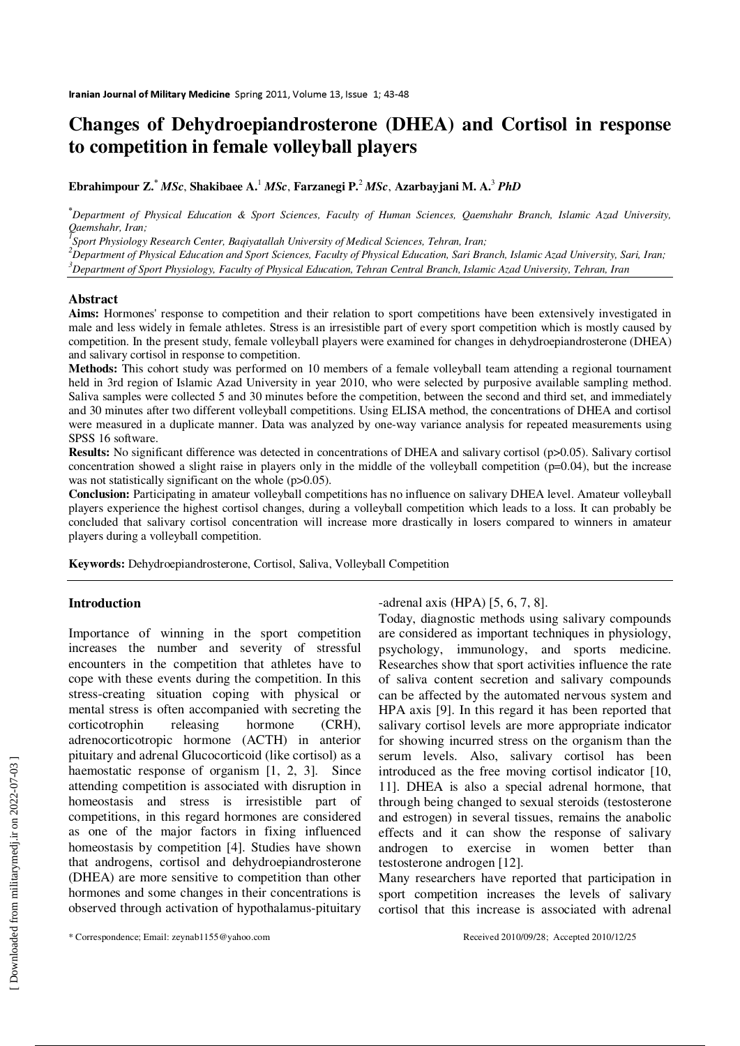# **Changes of Dehydroepiandrosterone (DHEA) and Cortisol in response to competition in female volleyball players**

**Ebrahimpour Z.\***  *MSc*, **Shakibaee A.**<sup>1</sup> *MSc*, **Farzanegi P.**<sup>2</sup> *MSc*, **Azarbayjani M. A.**<sup>3</sup> *PhD*

**\****Department of Physical Education & Sport Sciences, Faculty of Human Sciences, Qaemshahr Branch, Islamic Azad University, Qaemshahr, Iran;* 

*1 Sport Physiology Research Center, Baqiyatallah University of Medical Sciences, Tehran, Iran;* 

*<sup>2</sup>Department of Physical Education and Sport Sciences, Faculty of Physical Education, Sari Branch, Islamic Azad University, Sari, Iran; <sup>3</sup>Department of Sport Physiology, Faculty of Physical Education, Tehran Central Branch, Islamic Azad University, Tehran, Iran*

#### **Abstract**

**Aims:** Hormones' response to competition and their relation to sport competitions have been extensively investigated in male and less widely in female athletes. Stress is an irresistible part of every sport competition which is mostly caused by competition. In the present study, female volleyball players were examined for changes in dehydroepiandrosterone (DHEA) and salivary cortisol in response to competition.

**Methods:** This cohort study was performed on 10 members of a female volleyball team attending a regional tournament held in 3rd region of Islamic Azad University in year 2010, who were selected by purposive available sampling method. Saliva samples were collected 5 and 30 minutes before the competition, between the second and third set, and immediately and 30 minutes after two different volleyball competitions. Using ELISA method, the concentrations of DHEA and cortisol were measured in a duplicate manner. Data was analyzed by one-way variance analysis for repeated measurements using SPSS 16 software.

**Results:** No significant difference was detected in concentrations of DHEA and salivary cortisol (p>0.05). Salivary cortisol concentration showed a slight raise in players only in the middle of the volleyball competition  $(p=0.04)$ , but the increase was not statistically significant on the whole (p>0.05).

**Conclusion:** Participating in amateur volleyball competitions has no influence on salivary DHEA level. Amateur volleyball players experience the highest cortisol changes, during a volleyball competition which leads to a loss. It can probably be concluded that salivary cortisol concentration will increase more drastically in losers compared to winners in amateur players during a volleyball competition.

**Keywords:** Dehydroepiandrosterone, Cortisol, Saliva, Volleyball Competition

### **Introduction**

Importance of winning in the sport competition increases the number and severity of stressful encounters in the competition that athletes have to cope with these events during the competition. In this stress-creating situation coping with physical or mental stress is often accompanied with secreting the corticotrophin releasing hormone (CRH), adrenocorticotropic hormone (ACTH) in anterior pituitary and adrenal Glucocorticoid (like cortisol) as a haemostatic response of organism [1, 2, 3]. Since attending competition is associated with disruption in homeostasis and stress is irresistible part of competitions, in this regard hormones are considered as one of the major factors in fixing influenced homeostasis by competition [4]. Studies have shown that androgens, cortisol and dehydroepiandrosterone (DHEA) are more sensitive to competition than other hormones and some changes in their concentrations is observed through activation of hypothalamus-pituitary -adrenal axis (HPA) [5, 6, 7, 8].

Today, diagnostic methods using salivary compounds are considered as important techniques in physiology, psychology, immunology, and sports medicine. Researches show that sport activities influence the rate of saliva content secretion and salivary compounds can be affected by the automated nervous system and HPA axis [9]. In this regard it has been reported that salivary cortisol levels are more appropriate indicator for showing incurred stress on the organism than the serum levels. Also, salivary cortisol has been introduced as the free moving cortisol indicator [10, 11]. DHEA is also a special adrenal hormone, that through being changed to sexual steroids (testosterone and estrogen) in several tissues, remains the anabolic effects and it can show the response of salivary androgen to exercise in women better than testosterone androgen [12].

Many researchers have reported that participation in sport competition increases the levels of salivary cortisol that this increase is associated with adrenal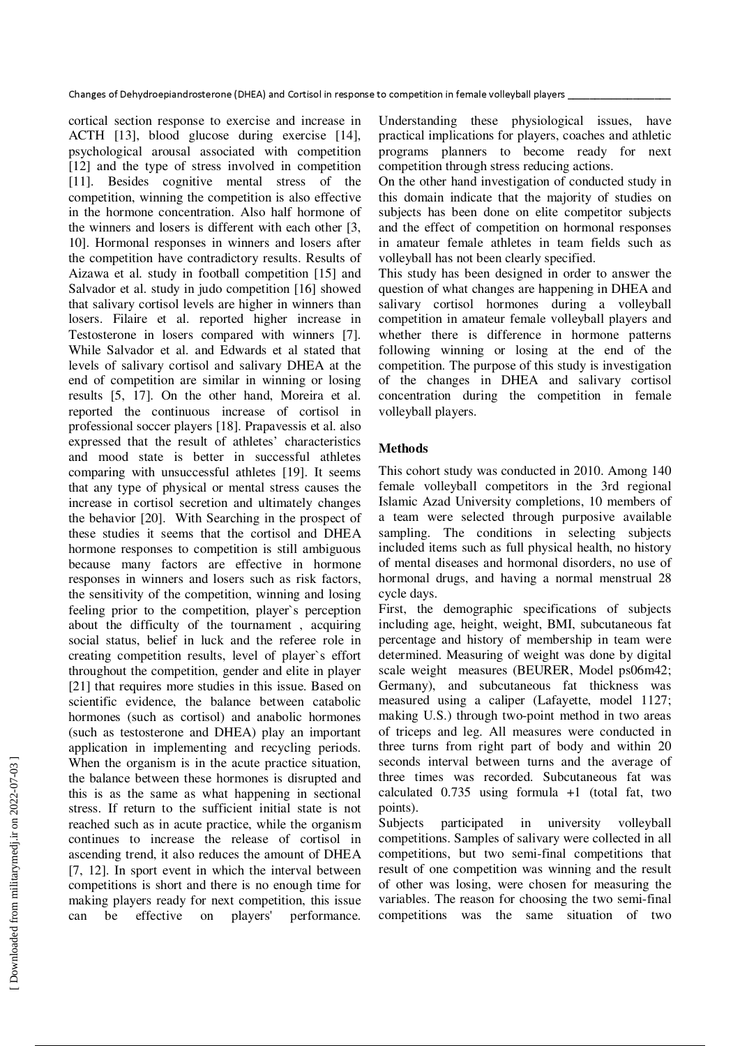cortical section response to exercise and increase in ACTH [13], blood glucose during exercise [14], psychological arousal associated with competition [12] and the type of stress involved in competition [11]. Besides cognitive mental stress of the competition, winning the competition is also effective in the hormone concentration. Also half hormone of the winners and losers is different with each other [3, 10]. Hormonal responses in winners and losers after the competition have contradictory results. Results of Aizawa et al. study in football competition [15] and Salvador et al. study in judo competition [16] showed that salivary cortisol levels are higher in winners than losers. Filaire et al. reported higher increase in Testosterone in losers compared with winners [7]. While Salvador et al. and Edwards et al stated that levels of salivary cortisol and salivary DHEA at the end of competition are similar in winning or losing results [5, 17]. On the other hand, Moreira et al. reported the continuous increase of cortisol in professional soccer players [18]. Prapavessis et al. also expressed that the result of athletes' characteristics and mood state is better in successful athletes comparing with unsuccessful athletes [19]. It seems that any type of physical or mental stress causes the increase in cortisol secretion and ultimately changes the behavior [20]. With Searching in the prospect of these studies it seems that the cortisol and DHEA hormone responses to competition is still ambiguous because many factors are effective in hormone responses in winners and losers such as risk factors, the sensitivity of the competition, winning and losing feeling prior to the competition, player`s perception about the difficulty of the tournament , acquiring social status, belief in luck and the referee role in creating competition results, level of player`s effort throughout the competition, gender and elite in player [21] that requires more studies in this issue. Based on scientific evidence, the balance between catabolic hormones (such as cortisol) and anabolic hormones (such as testosterone and DHEA) play an important application in implementing and recycling periods. When the organism is in the acute practice situation, the balance between these hormones is disrupted and this is as the same as what happening in sectional stress. If return to the sufficient initial state is not reached such as in acute practice, while the organism continues to increase the release of cortisol in ascending trend, it also reduces the amount of DHEA [7, 12]. In sport event in which the interval between competitions is short and there is no enough time for making players ready for next competition, this issue can be effective on players' performance.

Understanding these physiological issues, have practical implications for players, coaches and athletic programs planners to become ready for next competition through stress reducing actions.

On the other hand investigation of conducted study in this domain indicate that the majority of studies on subjects has been done on elite competitor subjects and the effect of competition on hormonal responses in amateur female athletes in team fields such as volleyball has not been clearly specified.

This study has been designed in order to answer the question of what changes are happening in DHEA and salivary cortisol hormones during a volleyball competition in amateur female volleyball players and whether there is difference in hormone patterns following winning or losing at the end of the competition. The purpose of this study is investigation of the changes in DHEA and salivary cortisol concentration during the competition in female volleyball players.

# **Methods**

This cohort study was conducted in 2010. Among 140 female volleyball competitors in the 3rd regional Islamic Azad University completions, 10 members of a team were selected through purposive available sampling. The conditions in selecting subjects included items such as full physical health, no history of mental diseases and hormonal disorders, no use of hormonal drugs, and having a normal menstrual 28 cycle days.

First, the demographic specifications of subjects including age, height, weight, BMI, subcutaneous fat percentage and history of membership in team were determined. Measuring of weight was done by digital scale weight measures (BEURER, Model ps06m42; Germany), and subcutaneous fat thickness was measured using a caliper (Lafayette, model 1127; making U.S.) through two-point method in two areas of triceps and leg. All measures were conducted in three turns from right part of body and within 20 seconds interval between turns and the average of three times was recorded. Subcutaneous fat was calculated  $0.735$  using formula  $+1$  (total fat, two points).

Subjects participated in university volleyball competitions. Samples of salivary were collected in all competitions, but two semi-final competitions that result of one competition was winning and the result of other was losing, were chosen for measuring the variables. The reason for choosing the two semi-final competitions was the same situation of two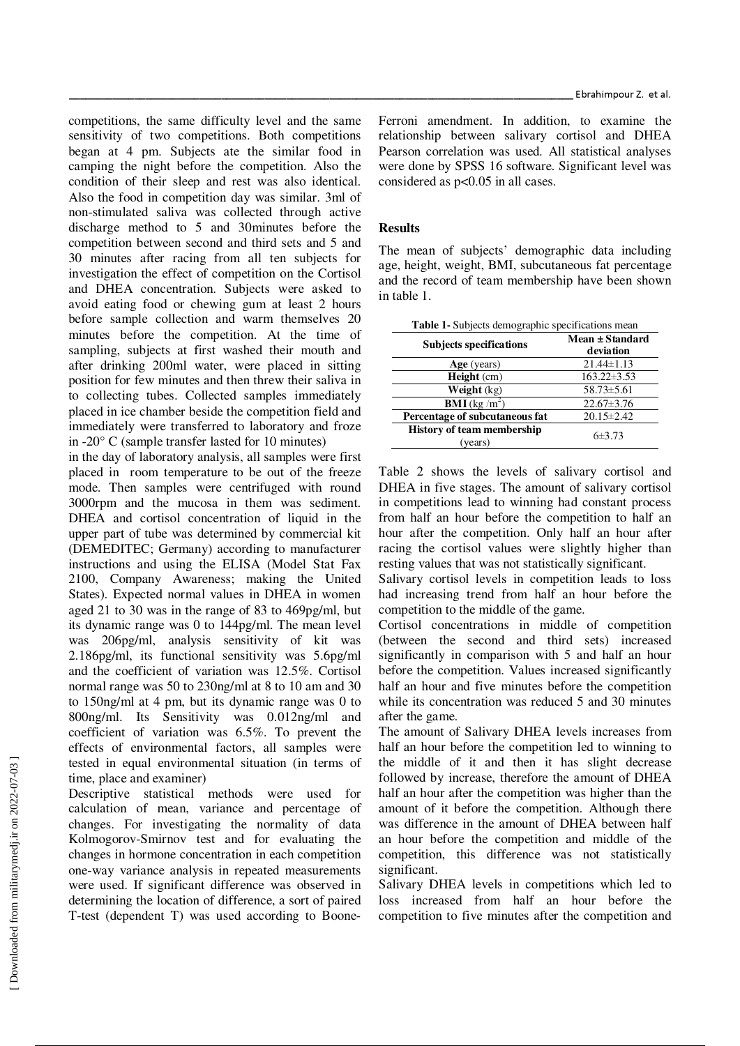competitions, the same difficulty level and the same sensitivity of two competitions. Both competitions began at 4 pm. Subjects ate the similar food in camping the night before the competition. Also the condition of their sleep and rest was also identical. Also the food in competition day was similar. 3ml of non-stimulated saliva was collected through active discharge method to 5 and 30minutes before the competition between second and third sets and 5 and 30 minutes after racing from all ten subjects for investigation the effect of competition on the Cortisol and DHEA concentration. Subjects were asked to avoid eating food or chewing gum at least 2 hours before sample collection and warm themselves 20 minutes before the competition. At the time of sampling, subjects at first washed their mouth and after drinking 200ml water, were placed in sitting position for few minutes and then threw their saliva in to collecting tubes. Collected samples immediately placed in ice chamber beside the competition field and immediately were transferred to laboratory and froze in -20° C (sample transfer lasted for 10 minutes)

in the day of laboratory analysis, all samples were first placed in room temperature to be out of the freeze mode. Then samples were centrifuged with round 3000rpm and the mucosa in them was sediment. DHEA and cortisol concentration of liquid in the upper part of tube was determined by commercial kit (DEMEDITEC; Germany) according to manufacturer instructions and using the ELISA (Model Stat Fax 2100, Company Awareness; making the United States). Expected normal values in DHEA in women aged 21 to 30 was in the range of 83 to 469pg/ml, but its dynamic range was 0 to 144pg/ml. The mean level was 206pg/ml, analysis sensitivity of kit was 2.186pg/ml, its functional sensitivity was 5.6pg/ml and the coefficient of variation was 12.5%. Cortisol normal range was 50 to 230ng/ml at 8 to 10 am and 30 to 150ng/ml at 4 pm, but its dynamic range was 0 to 800ng/ml. Its Sensitivity was 0.012ng/ml and coefficient of variation was 6.5%. To prevent the effects of environmental factors, all samples were tested in equal environmental situation (in terms of time, place and examiner)

Descriptive statistical methods were used for calculation of mean, variance and percentage of changes. For investigating the normality of data Kolmogorov-Smirnov test and for evaluating the changes in hormone concentration in each competition one-way variance analysis in repeated measurements were used. If significant difference was observed in determining the location of difference, a sort of paired T-test (dependent T) was used according to Boone-

Ferroni amendment. In addition, to examine the relationship between salivary cortisol and DHEA Pearson correlation was used. All statistical analyses were done by SPSS 16 software. Significant level was considered as p<0.05 in all cases.

## **Results**

The mean of subjects' demographic data including age, height, weight, BMI, subcutaneous fat percentage and the record of team membership have been shown in table 1.

| <b>Table 1-</b> Subjects demographic specifications mean |                              |  |  |  |
|----------------------------------------------------------|------------------------------|--|--|--|
| <b>Subjects specifications</b>                           | Mean ± Standard<br>deviation |  |  |  |
| Age (years)                                              | $21.44 \pm 1.13$             |  |  |  |
| $Height$ (cm)                                            | $163.22 \pm 3.53$            |  |  |  |
| Weight (kg)                                              | $58.73 \pm 5.61$             |  |  |  |
| <b>BMI</b> (kg $/m2$ )                                   | $22.67 \pm 3.76$             |  |  |  |
| Percentage of subcutaneous fat                           | $20.15 \pm 2.42$             |  |  |  |
| <b>History of team membership</b><br>(years)             | $6\pm3.73$                   |  |  |  |

Table 2 shows the levels of salivary cortisol and DHEA in five stages. The amount of salivary cortisol in competitions lead to winning had constant process from half an hour before the competition to half an hour after the competition. Only half an hour after racing the cortisol values were slightly higher than resting values that was not statistically significant.

Salivary cortisol levels in competition leads to loss had increasing trend from half an hour before the competition to the middle of the game.

Cortisol concentrations in middle of competition (between the second and third sets) increased significantly in comparison with 5 and half an hour before the competition. Values increased significantly half an hour and five minutes before the competition while its concentration was reduced 5 and 30 minutes after the game.

The amount of Salivary DHEA levels increases from half an hour before the competition led to winning to the middle of it and then it has slight decrease followed by increase, therefore the amount of DHEA half an hour after the competition was higher than the amount of it before the competition. Although there was difference in the amount of DHEA between half an hour before the competition and middle of the competition, this difference was not statistically significant.

Salivary DHEA levels in competitions which led to loss increased from half an hour before the competition to five minutes after the competition and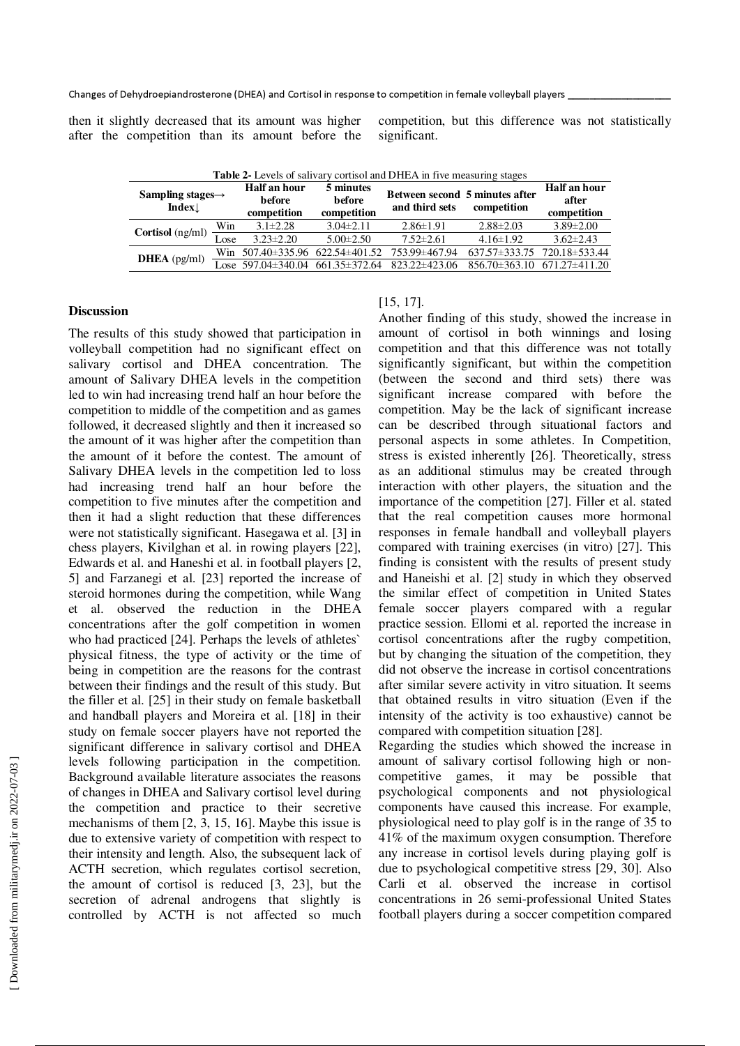Changes of Dehydroepiandrosterone (DHEA) and Cortisol in response to competition in female volleyball players

then it slightly decreased that its amount was higher after the competition than its amount before the

competition, but this difference was not statistically significant.

| <b>Table 2-</b> Ecvels of salivaly corrisol and DTIEA in five incasuring stages |      |                                       |                                              |                                                  |                                         |                                      |  |
|---------------------------------------------------------------------------------|------|---------------------------------------|----------------------------------------------|--------------------------------------------------|-----------------------------------------|--------------------------------------|--|
| Sampling stages $\rightarrow$<br>Index                                          |      | Half an hour<br>before<br>competition | 5 minutes<br><b>before</b><br>competition    | Between second 5 minutes after<br>and third sets | competition                             | Half an hour<br>after<br>competition |  |
| Cortisol (ng/ml)                                                                | Win  | $3.1 \pm 2.28$                        | $3.04\pm2.11$                                | $2.86 \pm 1.91$                                  | $2.88 \pm 2.03$                         | $3.89 \pm 2.00$                      |  |
|                                                                                 | Lose | $3.23 \pm 2.20$                       | $5.00 \pm 2.50$                              | $7.52 \pm 2.61$                                  | $4.16 \pm 1.92$                         | $3.62 \pm 2.43$                      |  |
| <b>DHEA</b> $(pg/ml)$                                                           |      |                                       | Win $507.40 \pm 335.96$ 622.54 $\pm 401.52$  | 753.99±467.94                                    | $637.57 \pm 333.75$ $720.18 \pm 533.44$ |                                      |  |
|                                                                                 |      |                                       | Lose $597.04 \pm 340.04$ $661.35 \pm 372.64$ | 823.22±423.06                                    | $856.70 \pm 363.10$                     | 671.27±411.20                        |  |
|                                                                                 |      |                                       |                                              |                                                  |                                         |                                      |  |

**Table 2-** Levels of salivary cortisol and DHEA in five measuring stages

## **Discussion**

The results of this study showed that participation in volleyball competition had no significant effect on salivary cortisol and DHEA concentration. The amount of Salivary DHEA levels in the competition led to win had increasing trend half an hour before the competition to middle of the competition and as games followed, it decreased slightly and then it increased so the amount of it was higher after the competition than the amount of it before the contest. The amount of Salivary DHEA levels in the competition led to loss had increasing trend half an hour before the competition to five minutes after the competition and then it had a slight reduction that these differences were not statistically significant. Hasegawa et al. [3] in chess players, Kivilghan et al. in rowing players [22], Edwards et al. and Haneshi et al. in football players [2, 5] and Farzanegi et al. [23] reported the increase of steroid hormones during the competition, while Wang et al. observed the reduction in the DHEA concentrations after the golf competition in women who had practiced [24]. Perhaps the levels of athletes` physical fitness, the type of activity or the time of being in competition are the reasons for the contrast between their findings and the result of this study. But the filler et al. [25] in their study on female basketball and handball players and Moreira et al. [18] in their study on female soccer players have not reported the significant difference in salivary cortisol and DHEA levels following participation in the competition. Background available literature associates the reasons of changes in DHEA and Salivary cortisol level during the competition and practice to their secretive mechanisms of them [2, 3, 15, 16]. Maybe this issue is due to extensive variety of competition with respect to their intensity and length. Also, the subsequent lack of ACTH secretion, which regulates cortisol secretion, the amount of cortisol is reduced [3, 23], but the secretion of adrenal androgens that slightly is controlled by ACTH is not affected so much

# [15, 17].

Another finding of this study, showed the increase in amount of cortisol in both winnings and losing competition and that this difference was not totally significantly significant, but within the competition (between the second and third sets) there was significant increase compared with before the competition. May be the lack of significant increase can be described through situational factors and personal aspects in some athletes. In Competition, stress is existed inherently [26]. Theoretically, stress as an additional stimulus may be created through interaction with other players, the situation and the importance of the competition [27]. Filler et al. stated that the real competition causes more hormonal responses in female handball and volleyball players compared with training exercises (in vitro) [27]. This finding is consistent with the results of present study and Haneishi et al. [2] study in which they observed the similar effect of competition in United States female soccer players compared with a regular practice session. Ellomi et al. reported the increase in cortisol concentrations after the rugby competition, but by changing the situation of the competition, they did not observe the increase in cortisol concentrations after similar severe activity in vitro situation. It seems that obtained results in vitro situation (Even if the intensity of the activity is too exhaustive) cannot be compared with competition situation [28].

Regarding the studies which showed the increase in amount of salivary cortisol following high or noncompetitive games, it may be possible that psychological components and not physiological components have caused this increase. For example, physiological need to play golf is in the range of 35 to 41% of the maximum oxygen consumption. Therefore any increase in cortisol levels during playing golf is due to psychological competitive stress [29, 30]. Also Carli et al. observed the increase in cortisol concentrations in 26 semi-professional United States football players during a soccer competition compared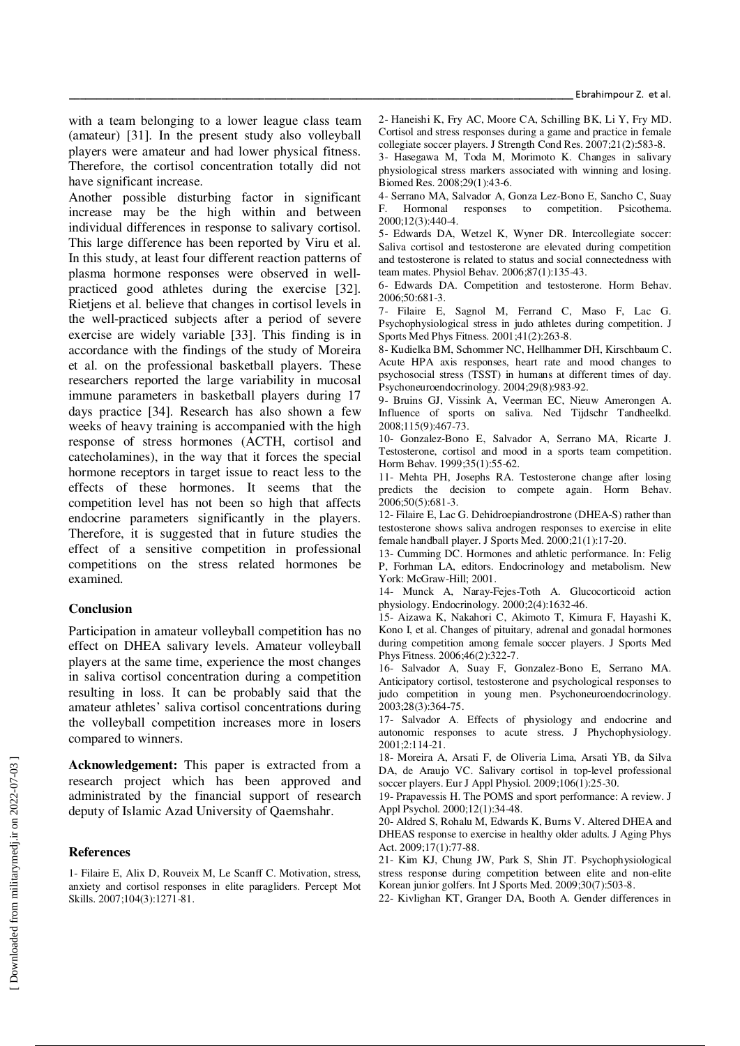with a team belonging to a lower league class team (amateur) [31]. In the present study also volleyball players were amateur and had lower physical fitness. Therefore, the cortisol concentration totally did not have significant increase.

Another possible disturbing factor in significant increase may be the high within and between individual differences in response to salivary cortisol. This large difference has been reported by Viru et al. In this study, at least four different reaction patterns of plasma hormone responses were observed in wellpracticed good athletes during the exercise [32]. Rietjens et al. believe that changes in cortisol levels in the well-practiced subjects after a period of severe exercise are widely variable [33]. This finding is in accordance with the findings of the study of Moreira et al. on the professional basketball players. These researchers reported the large variability in mucosal immune parameters in basketball players during 17 days practice [34]. Research has also shown a few weeks of heavy training is accompanied with the high response of stress hormones (ACTH, cortisol and catecholamines), in the way that it forces the special hormone receptors in target issue to react less to the effects of these hormones. It seems that the competition level has not been so high that affects endocrine parameters significantly in the players. Therefore, it is suggested that in future studies the effect of a sensitive competition in professional competitions on the stress related hormones be examined.

#### **Conclusion**

Participation in amateur volleyball competition has no effect on DHEA salivary levels. Amateur volleyball players at the same time, experience the most changes in saliva cortisol concentration during a competition resulting in loss. It can be probably said that the amateur athletes' saliva cortisol concentrations during the volleyball competition increases more in losers compared to winners.

**Acknowledgement:** This paper is extracted from a research project which has been approved and administrated by the financial support of research deputy of Islamic Azad University of Qaemshahr.

#### **References**

1- Filaire E, Alix D, Rouveix M, Le Scanff C. Motivation, stress, anxiety and cortisol responses in elite paragliders. Percept Mot Skills. 2007;104(3):1271-81.

2- Haneishi K, Fry AC, Moore CA, Schilling BK, Li Y, Fry MD. Cortisol and stress responses during a game and practice in female collegiate soccer players. J Strength Cond Res. 2007;21(2):583-8.

3- Hasegawa M, Toda M, Morimoto K. Changes in salivary physiological stress markers associated with winning and losing. Biomed Res. 2008;29(1):43-6.

4- Serrano MA, Salvador A, Gonza Lez-Bono E, Sancho C, Suay F. Hormonal responses to competition. Psicothema. 2000;12(3):440-4.

5- Edwards DA, Wetzel K, Wyner DR. Intercollegiate soccer: Saliva cortisol and testosterone are elevated during competition and testosterone is related to status and social connectedness with team mates. Physiol Behav. 2006;87(1):135-43.

6- Edwards DA. Competition and testosterone. Horm Behav. 2006;50:681-3.

7- Filaire E, Sagnol M, Ferrand C, Maso F, Lac G. Psychophysiological stress in judo athletes during competition. J Sports Med Phys Fitness. 2001;41(2):263-8.

8- Kudielka BM, Schommer NC, Hellhammer DH, Kirschbaum C. Acute HPA axis responses, heart rate and mood changes to psychosocial stress (TSST) in humans at different times of day. Psychoneuroendocrinology. 2004;29(8):983-92.

9- Bruins GJ, Vissink A, Veerman EC, Nieuw Amerongen A. Influence of sports on saliva. Ned Tijdschr Tandheelkd. 2008;115(9):467-73.

10- Gonzalez-Bono E, Salvador A, Serrano MA, Ricarte J. Testosterone, cortisol and mood in a sports team competition. Horm Behav. 1999;35(1):55-62.

11- Mehta PH, Josephs RA. Testosterone change after losing predicts the decision to compete again. Horm Behav. 2006;50(5):681-3.

12- Filaire E, Lac G. Dehidroepiandrostrone (DHEA-S) rather than testosterone shows saliva androgen responses to exercise in elite female handball player. J Sports Med. 2000;21(1):17-20.

13- Cumming DC. Hormones and athletic performance. In: Felig P, Forhman LA, editors. Endocrinology and metabolism. New York: McGraw-Hill; 2001.

14- Munck A, Naray-Fejes-Toth A. Glucocorticoid action physiology. Endocrinology. 2000;2(4):1632-46.

15- Aizawa K, Nakahori C, Akimoto T, Kimura F, Hayashi K, Kono I, et al. Changes of pituitary, adrenal and gonadal hormones during competition among female soccer players. J Sports Med Phys Fitness. 2006;46(2):322-7.

16- Salvador A, Suay F, Gonzalez-Bono E, Serrano MA. Anticipatory cortisol, testosterone and psychological responses to judo competition in young men. Psychoneuroendocrinology. 2003;28(3):364-75.

17- Salvador A. Effects of physiology and endocrine and autonomic responses to acute stress. J Phychophysiology. 2001;2:114-21.

18- Moreira A, Arsati F, de Oliveria Lima, Arsati YB, da Silva DA, de Araujo VC. Salivary cortisol in top-level professional soccer players. Eur J Appl Physiol. 2009;106(1):25-30.

19- Prapavessis H. The POMS and sport performance: A review. J Appl Psychol. 2000;12(1):34-48.

20- Aldred S, Rohalu M, Edwards K, Burns V. Altered DHEA and DHEAS response to exercise in healthy older adults. J Aging Phys Act. 2009;17(1):77-88.

21- Kim KJ, Chung JW, Park S, Shin JT. Psychophysiological stress response during competition between elite and non-elite Korean junior golfers. Int J Sports Med. 2009;30(7):503-8.

22- Kivlighan KT, Granger DA, Booth A. Gender differences in